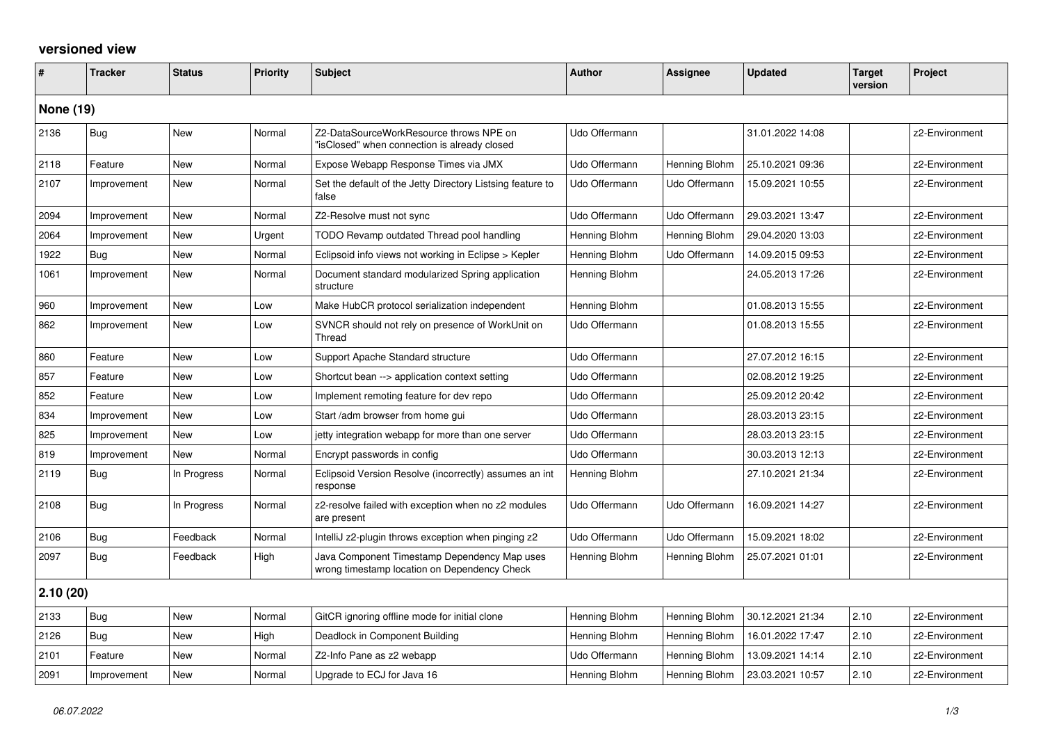## **versioned view**

| #                | <b>Tracker</b> | <b>Status</b> | <b>Priority</b> | <b>Subject</b>                                                                               | Author        | Assignee      | <b>Updated</b>   | <b>Target</b><br>version | Project        |
|------------------|----------------|---------------|-----------------|----------------------------------------------------------------------------------------------|---------------|---------------|------------------|--------------------------|----------------|
| <b>None (19)</b> |                |               |                 |                                                                                              |               |               |                  |                          |                |
| 2136             | <b>Bug</b>     | <b>New</b>    | Normal          | Z2-DataSourceWorkResource throws NPE on<br>'isClosed" when connection is already closed      | Udo Offermann |               | 31.01.2022 14:08 |                          | z2-Environment |
| 2118             | Feature        | New           | Normal          | Expose Webapp Response Times via JMX                                                         | Udo Offermann | Henning Blohm | 25.10.2021 09:36 |                          | z2-Environment |
| 2107             | Improvement    | New           | Normal          | Set the default of the Jetty Directory Listsing feature to<br>false                          | Udo Offermann | Udo Offermann | 15.09.2021 10:55 |                          | z2-Environment |
| 2094             | Improvement    | <b>New</b>    | Normal          | Z2-Resolve must not sync                                                                     | Udo Offermann | Udo Offermann | 29.03.2021 13:47 |                          | z2-Environment |
| 2064             | Improvement    | <b>New</b>    | Urgent          | TODO Revamp outdated Thread pool handling                                                    | Henning Blohm | Henning Blohm | 29.04.2020 13:03 |                          | z2-Environment |
| 1922             | Bug            | New           | Normal          | Eclipsoid info views not working in Eclipse > Kepler                                         | Henning Blohm | Udo Offermann | 14.09.2015 09:53 |                          | z2-Environment |
| 1061             | Improvement    | <b>New</b>    | Normal          | Document standard modularized Spring application<br>structure                                | Henning Blohm |               | 24.05.2013 17:26 |                          | z2-Environment |
| 960              | Improvement    | New           | Low             | Make HubCR protocol serialization independent                                                | Henning Blohm |               | 01.08.2013 15:55 |                          | z2-Environment |
| 862              | Improvement    | New           | Low             | SVNCR should not rely on presence of WorkUnit on<br>Thread                                   | Udo Offermann |               | 01.08.2013 15:55 |                          | z2-Environment |
| 860              | Feature        | New           | Low             | Support Apache Standard structure                                                            | Udo Offermann |               | 27.07.2012 16:15 |                          | z2-Environment |
| 857              | Feature        | New           | Low             | Shortcut bean --> application context setting                                                | Udo Offermann |               | 02.08.2012 19:25 |                          | z2-Environment |
| 852              | Feature        | <b>New</b>    | Low             | Implement remoting feature for dev repo                                                      | Udo Offermann |               | 25.09.2012 20:42 |                          | z2-Environment |
| 834              | Improvement    | New           | Low             | Start /adm browser from home gui                                                             | Udo Offermann |               | 28.03.2013 23:15 |                          | z2-Environment |
| 825              | Improvement    | New           | Low             | jetty integration webapp for more than one server                                            | Udo Offermann |               | 28.03.2013 23:15 |                          | z2-Environment |
| 819              | Improvement    | New           | Normal          | Encrypt passwords in config                                                                  | Udo Offermann |               | 30.03.2013 12:13 |                          | z2-Environment |
| 2119             | Bug            | In Progress   | Normal          | Eclipsoid Version Resolve (incorrectly) assumes an int<br>response                           | Henning Blohm |               | 27.10.2021 21:34 |                          | z2-Environment |
| 2108             | Bug            | In Progress   | Normal          | z2-resolve failed with exception when no z2 modules<br>are present                           | Udo Offermann | Udo Offermann | 16.09.2021 14:27 |                          | z2-Environment |
| 2106             | Bug            | Feedback      | Normal          | IntelliJ z2-plugin throws exception when pinging z2                                          | Udo Offermann | Udo Offermann | 15.09.2021 18:02 |                          | z2-Environment |
| 2097             | Bug            | Feedback      | High            | Java Component Timestamp Dependency Map uses<br>wrong timestamp location on Dependency Check | Henning Blohm | Henning Blohm | 25.07.2021 01:01 |                          | z2-Environment |
| 2.10(20)         |                |               |                 |                                                                                              |               |               |                  |                          |                |
| 2133             | <b>Bug</b>     | <b>New</b>    | Normal          | GitCR ignoring offline mode for initial clone                                                | Henning Blohm | Henning Blohm | 30.12.2021 21:34 | 2.10                     | z2-Environment |
| 2126             | Bug            | New           | High            | Deadlock in Component Building                                                               | Henning Blohm | Henning Blohm | 16.01.2022 17:47 | 2.10                     | z2-Environment |
| 2101             | Feature        | <b>New</b>    | Normal          | Z2-Info Pane as z2 webapp                                                                    | Udo Offermann | Henning Blohm | 13.09.2021 14:14 | 2.10                     | z2-Environment |
| 2091             | Improvement    | <b>New</b>    | Normal          | Upgrade to ECJ for Java 16                                                                   | Henning Blohm | Henning Blohm | 23.03.2021 10:57 | 2.10                     | z2-Environment |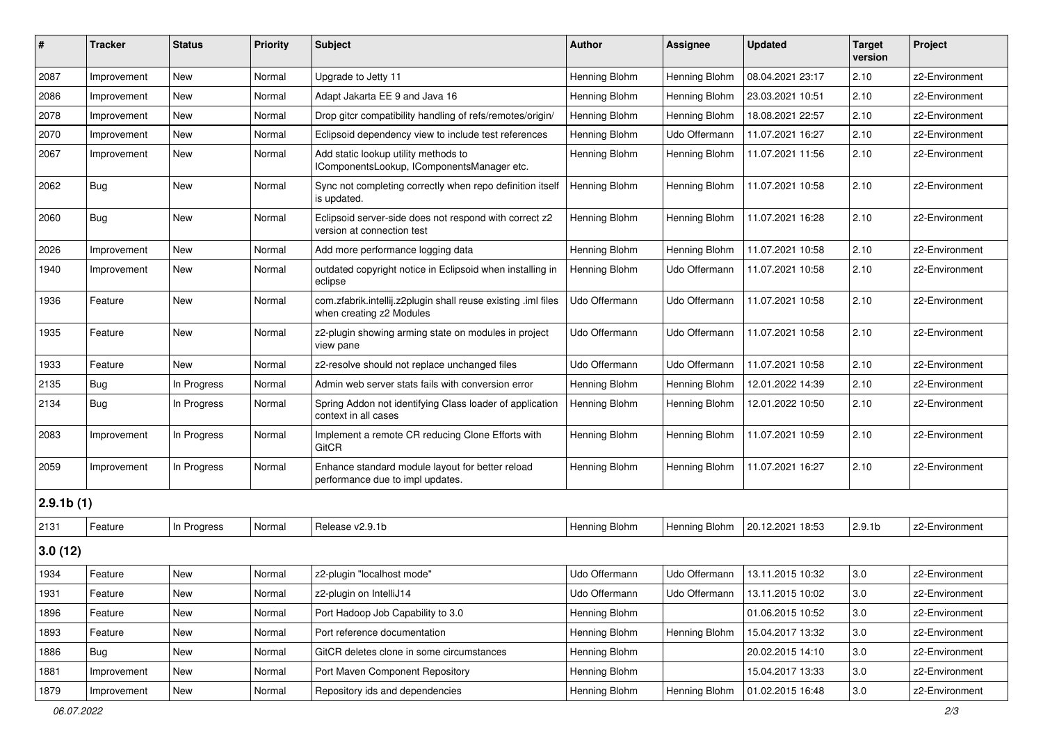| #         | <b>Tracker</b> | <b>Status</b> | <b>Priority</b> | <b>Subject</b>                                                                            | <b>Author</b> | Assignee      | <b>Updated</b>   | <b>Target</b><br>version | Project        |
|-----------|----------------|---------------|-----------------|-------------------------------------------------------------------------------------------|---------------|---------------|------------------|--------------------------|----------------|
| 2087      | Improvement    | <b>New</b>    | Normal          | Upgrade to Jetty 11                                                                       | Henning Blohm | Henning Blohm | 08.04.2021 23:17 | 2.10                     | z2-Environment |
| 2086      | Improvement    | New           | Normal          | Adapt Jakarta EE 9 and Java 16                                                            | Henning Blohm | Henning Blohm | 23.03.2021 10:51 | 2.10                     | z2-Environment |
| 2078      | Improvement    | New           | Normal          | Drop gitcr compatibility handling of refs/remotes/origin/                                 | Henning Blohm | Henning Blohm | 18.08.2021 22:57 | 2.10                     | z2-Environment |
| 2070      | Improvement    | New           | Normal          | Eclipsoid dependency view to include test references                                      | Henning Blohm | Udo Offermann | 11.07.2021 16:27 | 2.10                     | z2-Environment |
| 2067      | Improvement    | New           | Normal          | Add static lookup utility methods to<br>IComponentsLookup, IComponentsManager etc.        | Henning Blohm | Henning Blohm | 11.07.2021 11:56 | 2.10                     | z2-Environment |
| 2062      | Bug            | New           | Normal          | Sync not completing correctly when repo definition itself<br>is updated.                  | Henning Blohm | Henning Blohm | 11.07.2021 10:58 | 2.10                     | z2-Environment |
| 2060      | Bug            | <b>New</b>    | Normal          | Eclipsoid server-side does not respond with correct z2<br>version at connection test      | Henning Blohm | Henning Blohm | 11.07.2021 16:28 | 2.10                     | z2-Environment |
| 2026      | Improvement    | New           | Normal          | Add more performance logging data                                                         | Henning Blohm | Henning Blohm | 11.07.2021 10:58 | 2.10                     | z2-Environment |
| 1940      | Improvement    | New           | Normal          | outdated copyright notice in Eclipsoid when installing in<br>eclipse                      | Henning Blohm | Udo Offermann | 11.07.2021 10:58 | 2.10                     | z2-Environment |
| 1936      | Feature        | New           | Normal          | com.zfabrik.intellij.z2plugin shall reuse existing .iml files<br>when creating z2 Modules | Udo Offermann | Udo Offermann | 11.07.2021 10:58 | 2.10                     | z2-Environment |
| 1935      | Feature        | New           | Normal          | z2-plugin showing arming state on modules in project<br>view pane                         | Udo Offermann | Udo Offermann | 11.07.2021 10:58 | 2.10                     | z2-Environment |
| 1933      | Feature        | New           | Normal          | z2-resolve should not replace unchanged files                                             | Udo Offermann | Udo Offermann | 11.07.2021 10:58 | 2.10                     | z2-Environment |
| 2135      | Bug            | In Progress   | Normal          | Admin web server stats fails with conversion error                                        | Henning Blohm | Henning Blohm | 12.01.2022 14:39 | 2.10                     | z2-Environment |
| 2134      | <b>Bug</b>     | In Progress   | Normal          | Spring Addon not identifying Class loader of application<br>context in all cases          | Henning Blohm | Henning Blohm | 12.01.2022 10:50 | 2.10                     | z2-Environment |
| 2083      | Improvement    | In Progress   | Normal          | Implement a remote CR reducing Clone Efforts with<br>GitCR                                | Henning Blohm | Henning Blohm | 11.07.2021 10:59 | 2.10                     | z2-Environment |
| 2059      | Improvement    | In Progress   | Normal          | Enhance standard module layout for better reload<br>performance due to impl updates.      | Henning Blohm | Henning Blohm | 11.07.2021 16:27 | 2.10                     | z2-Environment |
| 2.9.1b(1) |                |               |                 |                                                                                           |               |               |                  |                          |                |
| 2131      | Feature        | In Progress   | Normal          | Release v2.9.1b                                                                           | Henning Blohm | Henning Blohm | 20.12.2021 18:53 | 2.9.1 <sub>b</sub>       | z2-Environment |
| 3.0(12)   |                |               |                 |                                                                                           |               |               |                  |                          |                |
| 1934      | Feature        | <b>New</b>    | Normal          | z2-plugin "localhost mode"                                                                | Udo Offermann | Udo Offermann | 13.11.2015 10:32 | 3.0                      | z2-Environment |
| 1931      | Feature        | New           | Normal          | z2-plugin on IntelliJ14                                                                   | Udo Offermann | Udo Offermann | 13.11.2015 10:02 | 3.0                      | z2-Environment |
| 1896      | Feature        | New           | Normal          | Port Hadoop Job Capability to 3.0                                                         | Henning Blohm |               | 01.06.2015 10:52 | 3.0                      | z2-Environment |
| 1893      | Feature        | New           | Normal          | Port reference documentation                                                              | Henning Blohm | Henning Blohm | 15.04.2017 13:32 | 3.0                      | z2-Environment |
| 1886      | <b>Bug</b>     | New           | Normal          | GitCR deletes clone in some circumstances                                                 | Henning Blohm |               | 20.02.2015 14:10 | 3.0                      | z2-Environment |
| 1881      | Improvement    | New           | Normal          | Port Maven Component Repository                                                           | Henning Blohm |               | 15.04.2017 13:33 | 3.0                      | z2-Environment |
| 1879      | Improvement    | New           | Normal          | Repository ids and dependencies                                                           | Henning Blohm | Henning Blohm | 01.02.2015 16:48 | 3.0                      | z2-Environment |